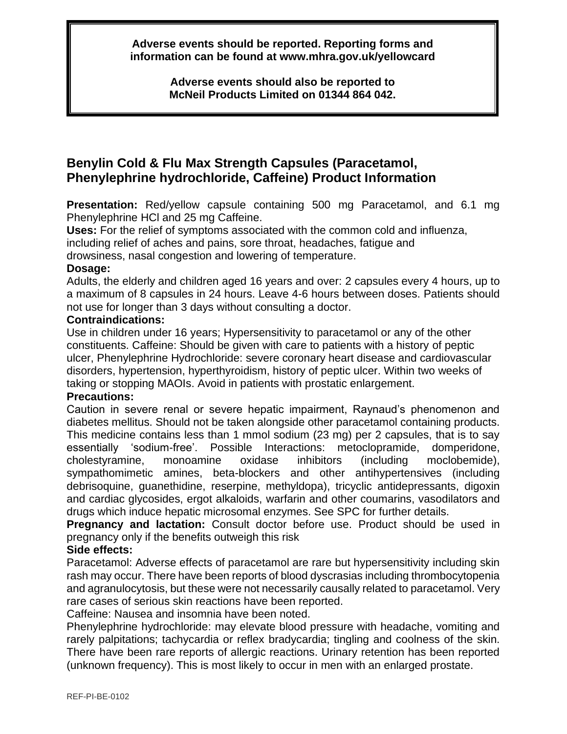**Adverse events should be reported. Reporting forms and information can be found at www.mhra.gov.uk/yellowcard**

> **Adverse events should also be reported to McNeil Products Limited on 01344 864 042.**

# **Benylin Cold & Flu Max Strength Capsules (Paracetamol, Phenylephrine hydrochloride, Caffeine) Product Information**

**Presentation:** Red/yellow capsule containing 500 mg Paracetamol, and 6.1 mg Phenylephrine HCl and 25 mg Caffeine.

**Uses:** For the relief of symptoms associated with the common cold and influenza,

including relief of aches and pains, sore throat, headaches, fatigue and

drowsiness, nasal congestion and lowering of temperature.

#### **Dosage:**

Adults, the elderly and children aged 16 years and over: 2 capsules every 4 hours, up to a maximum of 8 capsules in 24 hours. Leave 4-6 hours between doses. Patients should not use for longer than 3 days without consulting a doctor.

#### **Contraindications:**

Use in children under 16 years; Hypersensitivity to paracetamol or any of the other constituents. Caffeine: Should be given with care to patients with a history of peptic ulcer, Phenylephrine Hydrochloride: severe coronary heart disease and cardiovascular disorders, hypertension, hyperthyroidism, history of peptic ulcer. Within two weeks of taking or stopping MAOIs. Avoid in patients with prostatic enlargement.

## **Precautions:**

Caution in severe renal or severe hepatic impairment, Raynaud's phenomenon and diabetes mellitus. Should not be taken alongside other paracetamol containing products. This medicine contains less than 1 mmol sodium (23 mg) per 2 capsules, that is to say essentially 'sodium-free'. Possible Interactions: metoclopramide, domperidone, cholestyramine, monoamine oxidase inhibitors (including moclobemide), sympathomimetic amines, beta-blockers and other antihypertensives (including debrisoquine, guanethidine, reserpine, methyldopa), tricyclic antidepressants, digoxin and cardiac glycosides, ergot alkaloids, warfarin and other coumarins, vasodilators and drugs which induce hepatic microsomal enzymes. See SPC for further details.

**Pregnancy and lactation:** Consult doctor before use. Product should be used in pregnancy only if the benefits outweigh this risk

## **Side effects:**

Paracetamol: Adverse effects of paracetamol are rare but hypersensitivity including skin rash may occur. There have been reports of blood dyscrasias including thrombocytopenia and agranulocytosis, but these were not necessarily causally related to paracetamol. Very rare cases of serious skin reactions have been reported.

Caffeine: Nausea and insomnia have been noted.

Phenylephrine hydrochloride: may elevate blood pressure with headache, vomiting and rarely palpitations; tachycardia or reflex bradycardia; tingling and coolness of the skin. There have been rare reports of allergic reactions. Urinary retention has been reported (unknown frequency). This is most likely to occur in men with an enlarged prostate.